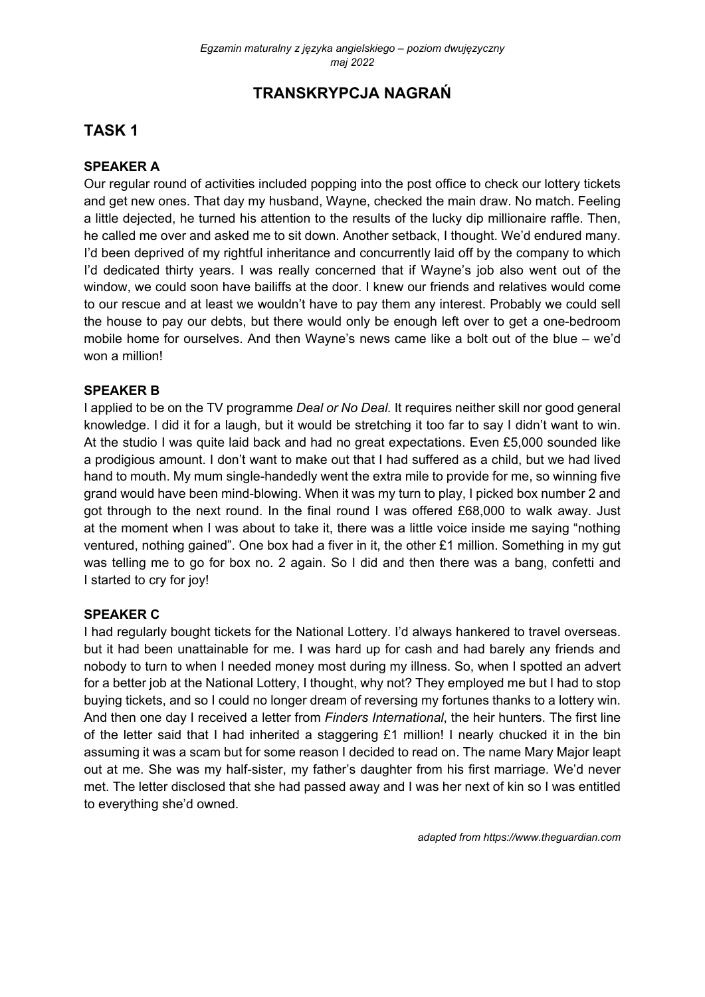# **TRANSKRYPCJA NAGRAŃ**

# **TASK 1**

## **SPEAKER A**

Our regular round of activities included popping into the post office to check our lottery tickets and get new ones. That day my husband, Wayne, checked the main draw. No match. Feeling a little dejected, he turned his attention to the results of the lucky dip millionaire raffle. Then, he called me over and asked me to sit down. Another setback, I thought. We'd endured many. I'd been deprived of my rightful inheritance and concurrently laid off by the company to which I'd dedicated thirty years. I was really concerned that if Wayne's job also went out of the window, we could soon have bailiffs at the door. I knew our friends and relatives would come to our rescue and at least we wouldn't have to pay them any interest. Probably we could sell the house to pay our debts, but there would only be enough left over to get a one-bedroom mobile home for ourselves. And then Wayne's news came like a bolt out of the blue – we'd won a million!

#### **SPEAKER B**

I applied to be on the TV programme *Deal or No Deal.* It requires neither skill nor good general knowledge. I did it for a laugh, but it would be stretching it too far to say I didn't want to win. At the studio I was quite laid back and had no great expectations. Even £5,000 sounded like a prodigious amount. I don't want to make out that I had suffered as a child, but we had lived hand to mouth. My mum single-handedly went the extra mile to provide for me, so winning five grand would have been mind-blowing. When it was my turn to play, I picked box number 2 and got through to the next round. In the final round I was offered £68,000 to walk away. Just at the moment when I was about to take it, there was a little voice inside me saying "nothing ventured, nothing gained". One box had a fiver in it, the other £1 million. Something in my gut was telling me to go for box no. 2 again. So I did and then there was a bang, confetti and I started to cry for joy!

#### **SPEAKER C**

I had regularly bought tickets for the National Lottery. I'd always hankered to travel overseas. but it had been unattainable for me. I was hard up for cash and had barely any friends and nobody to turn to when I needed money most during my illness. So, when I spotted an advert for a better job at the National Lottery, I thought, why not? They employed me but I had to stop buying tickets, and so I could no longer dream of reversing my fortunes thanks to a lottery win. And then one day I received a letter from *Finders International*, the heir hunters. The first line of the letter said that I had inherited a staggering £1 million! I nearly chucked it in the bin assuming it was a scam but for some reason I decided to read on. The name Mary Major leapt out at me. She was my half-sister, my father's daughter from his first marriage. We'd never met. The letter disclosed that she had passed away and I was her next of kin so I was entitled to everything she'd owned.

*adapted from https://www.theguardian.com*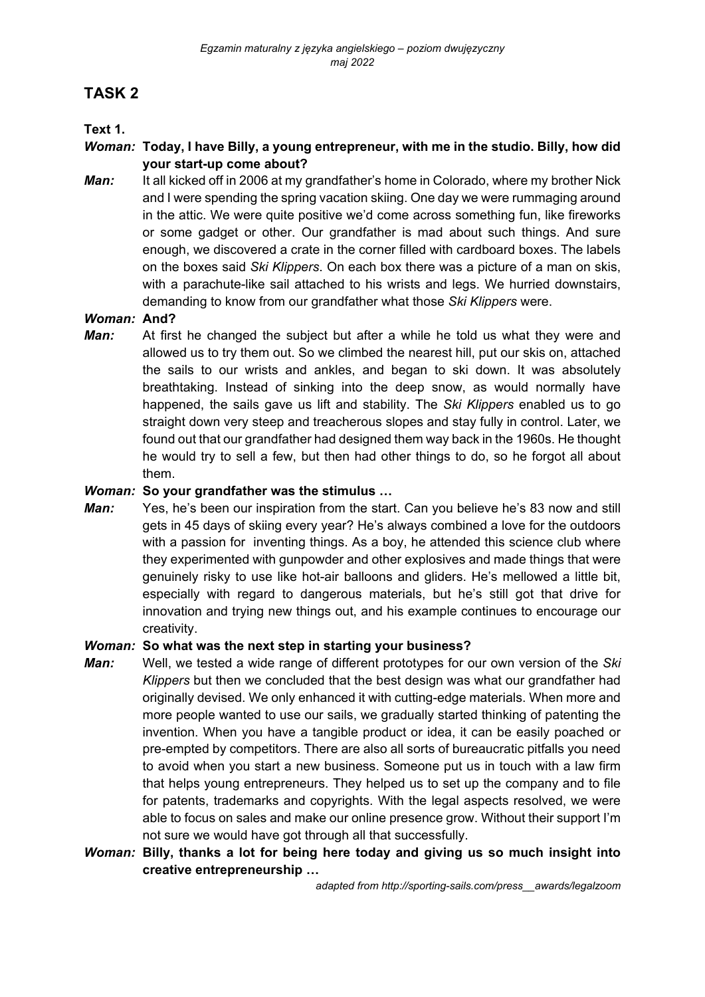# **TASK 2**

## **Text 1.**

#### *Woman:* **Today, I have Billy, a young entrepreneur, with me in the studio. Billy, how did your start-up come about?**

*Man:* It all kicked off in 2006 at my grandfather's home in Colorado, where my brother Nick and I were spending the spring vacation skiing. One day we were rummaging around in the attic. We were quite positive we'd come across something fun, like fireworks or some gadget or other. Our grandfather is mad about such things. And sure enough, we discovered a crate in the corner filled with cardboard boxes. The labels on the boxes said *Ski Klippers*. On each box there was a picture of a man on skis, with a parachute-like sail attached to his wrists and legs. We hurried downstairs, demanding to know from our grandfather what those *Ski Klippers* were.

#### *Woman:* **And?**

*Man:* At first he changed the subject but after a while he told us what they were and allowed us to try them out. So we climbed the nearest hill, put our skis on, attached the sails to our wrists and ankles, and began to ski down. It was absolutely breathtaking. Instead of sinking into the deep snow, as would normally have happened, the sails gave us lift and stability. The *Ski Klippers* enabled us to go straight down very steep and treacherous slopes and stay fully in control. Later, we found out that our grandfather had designed them way back in the 1960s. He thought he would try to sell a few, but then had other things to do, so he forgot all about them.

#### *Woman:* **So your grandfather was the stimulus …**

*Man:* Yes, he's been our inspiration from the start. Can you believe he's 83 now and still gets in 45 days of skiing every year? He's always combined a love for the outdoors with a passion for inventing things. As a boy, he attended this science club where they experimented with gunpowder and other explosives and made things that were genuinely risky to use like hot-air balloons and gliders. He's mellowed a little bit, especially with regard to dangerous materials, but he's still got that drive for innovation and trying new things out, and his example continues to encourage our creativity.

#### *Woman:* **So what was the next step in starting your business?**

- *Man:* Well, we tested a wide range of different prototypes for our own version of the *Ski Klippers* but then we concluded that the best design was what our grandfather had originally devised. We only enhanced it with cutting-edge materials. When more and more people wanted to use our sails, we gradually started thinking of patenting the invention. When you have a tangible product or idea, it can be easily poached or pre-empted by competitors. There are also all sorts of bureaucratic pitfalls you need to avoid when you start a new business. Someone put us in touch with a law firm that helps young entrepreneurs. They helped us to set up the company and to file for patents, trademarks and copyrights. With the legal aspects resolved, we were able to focus on sales and make our online presence grow. Without their support I'm not sure we would have got through all that successfully.
- *Woman:* **Billy, thanks a lot for being here today and giving us so much insight into creative entrepreneurship …**

*adapted from http://sporting-sails.com/press\_\_awards/legalzoom*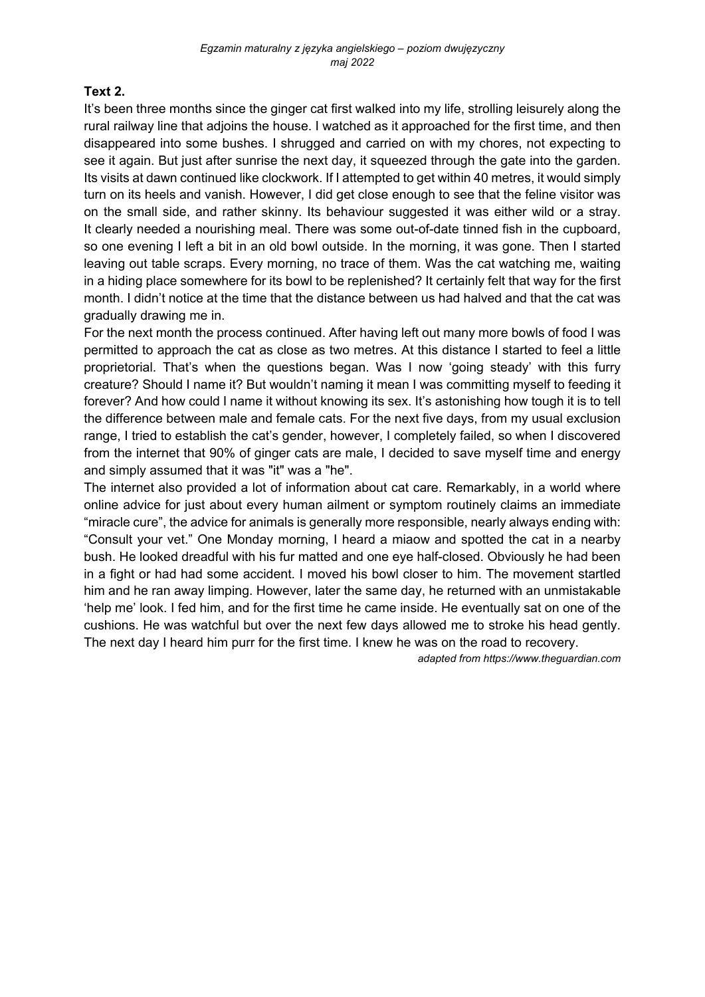## **Text 2.**

It's been three months since the ginger cat first walked into my life, strolling leisurely along the rural railway line that adjoins the house. I watched as it approached for the first time, and then disappeared into some bushes. I shrugged and carried on with my chores, not expecting to see it again. But just after sunrise the next day, it squeezed through the gate into the garden. Its visits at dawn continued like clockwork. If I attempted to get within 40 metres, it would simply turn on its heels and vanish. However, I did get close enough to see that the feline visitor was on the small side, and rather skinny. Its behaviour suggested it was either wild or a stray. It clearly needed a nourishing meal. There was some out-of-date tinned fish in the cupboard, so one evening I left a bit in an old bowl outside. In the morning, it was gone. Then I started leaving out table scraps. Every morning, no trace of them. Was the cat watching me, waiting in a hiding place somewhere for its bowl to be replenished? It certainly felt that way for the first month. I didn't notice at the time that the distance between us had halved and that the cat was gradually drawing me in.

For the next month the process continued. After having left out many more bowls of food I was permitted to approach the cat as close as two metres. At this distance I started to feel a little proprietorial. That's when the questions began. Was I now 'going steady' with this furry creature? Should I name it? But wouldn't naming it mean I was committing myself to feeding it forever? And how could I name it without knowing its sex. It's astonishing how tough it is to tell the difference between male and female cats. For the next five days, from my usual exclusion range, I tried to establish the cat's gender, however, I completely failed, so when I discovered from the internet that 90% of ginger cats are male, I decided to save myself time and energy and simply assumed that it was "it" was a "he".

The internet also provided a lot of information about cat care. Remarkably, in a world where online advice for just about every human ailment or symptom routinely claims an immediate "miracle cure", the advice for animals is generally more responsible, nearly always ending with: "Consult your vet." One Monday morning, I heard a miaow and spotted the cat in a nearby bush. He looked dreadful with his fur matted and one eye half-closed. Obviously he had been in a fight or had had some accident. I moved his bowl closer to him. The movement startled him and he ran away limping. However, later the same day, he returned with an unmistakable 'help me' look. I fed him, and for the first time he came inside. He eventually sat on one of the cushions. He was watchful but over the next few days allowed me to stroke his head gently. The next day I heard him purr for the first time. I knew he was on the road to recovery.

*adapted from https://www.theguardian.com*